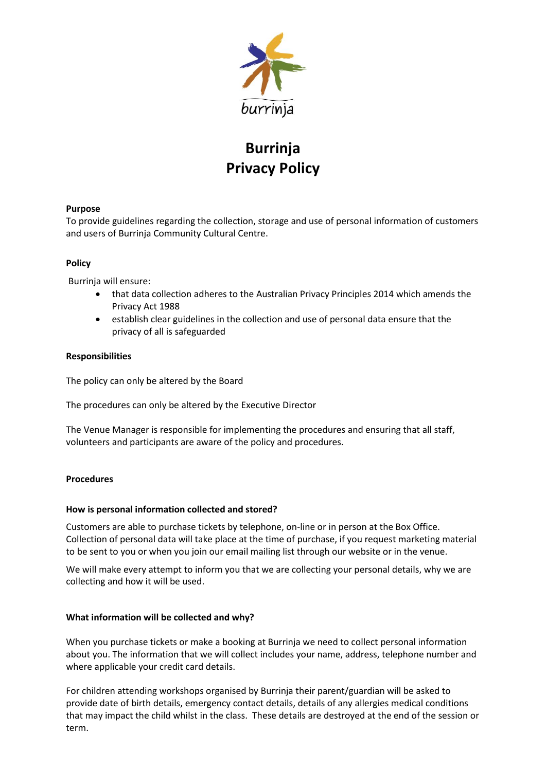

# **Burrinja Privacy Policy**

## **Purpose**

To provide guidelines regarding the collection, storage and use of personal information of customers and users of Burrinja Community Cultural Centre.

## **Policy**

Burrinja will ensure:

- that data collection adheres to the Australian Privacy Principles 2014 which amends the Privacy Act 1988
- establish clear guidelines in the collection and use of personal data ensure that the privacy of all is safeguarded

#### **Responsibilities**

The policy can only be altered by the Board

The procedures can only be altered by the Executive Director

The Venue Manager is responsible for implementing the procedures and ensuring that all staff, volunteers and participants are aware of the policy and procedures.

#### **Procedures**

#### **How is personal information collected and stored?**

Customers are able to purchase tickets by telephone, on-line or in person at the Box Office. Collection of personal data will take place at the time of purchase, if you request marketing material to be sent to you or when you join our email mailing list through our website or in the venue.

We will make every attempt to inform you that we are collecting your personal details, why we are collecting and how it will be used.

#### **What information will be collected and why?**

When you purchase tickets or make a booking at Burrinja we need to collect personal information about you. The information that we will collect includes your name, address, telephone number and where applicable your credit card details.

For children attending workshops organised by Burrinja their parent/guardian will be asked to provide date of birth details, emergency contact details, details of any allergies medical conditions that may impact the child whilst in the class. These details are destroyed at the end of the session or term.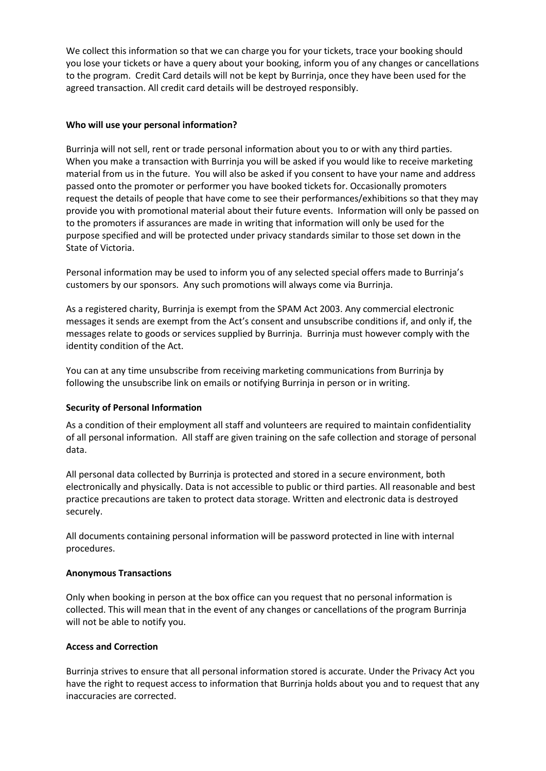We collect this information so that we can charge you for your tickets, trace your booking should you lose your tickets or have a query about your booking, inform you of any changes or cancellations to the program. Credit Card details will not be kept by Burrinja, once they have been used for the agreed transaction. All credit card details will be destroyed responsibly.

### **Who will use your personal information?**

Burrinja will not sell, rent or trade personal information about you to or with any third parties. When you make a transaction with Burrinja you will be asked if you would like to receive marketing material from us in the future. You will also be asked if you consent to have your name and address passed onto the promoter or performer you have booked tickets for. Occasionally promoters request the details of people that have come to see their performances/exhibitions so that they may provide you with promotional material about their future events. Information will only be passed on to the promoters if assurances are made in writing that information will only be used for the purpose specified and will be protected under privacy standards similar to those set down in the State of Victoria.

Personal information may be used to inform you of any selected special offers made to Burrinja's customers by our sponsors. Any such promotions will always come via Burrinja.

As a registered charity, Burrinja is exempt from the SPAM Act 2003. Any commercial electronic messages it sends are exempt from the Act's consent and unsubscribe conditions if, and only if, the messages relate to goods or services supplied by Burrinja. Burrinja must however comply with the identity condition of the Act.

You can at any time unsubscribe from receiving marketing communications from Burrinja by following the unsubscribe link on emails or notifying Burrinja in person or in writing.

## **Security of Personal Information**

As a condition of their employment all staff and volunteers are required to maintain confidentiality of all personal information. All staff are given training on the safe collection and storage of personal data.

All personal data collected by Burrinja is protected and stored in a secure environment, both electronically and physically. Data is not accessible to public or third parties. All reasonable and best practice precautions are taken to protect data storage. Written and electronic data is destroyed securely.

All documents containing personal information will be password protected in line with internal procedures.

#### **Anonymous Transactions**

Only when booking in person at the box office can you request that no personal information is collected. This will mean that in the event of any changes or cancellations of the program Burrinja will not be able to notify you.

#### **Access and Correction**

Burrinja strives to ensure that all personal information stored is accurate. Under the Privacy Act you have the right to request access to information that Burrinja holds about you and to request that any inaccuracies are corrected.